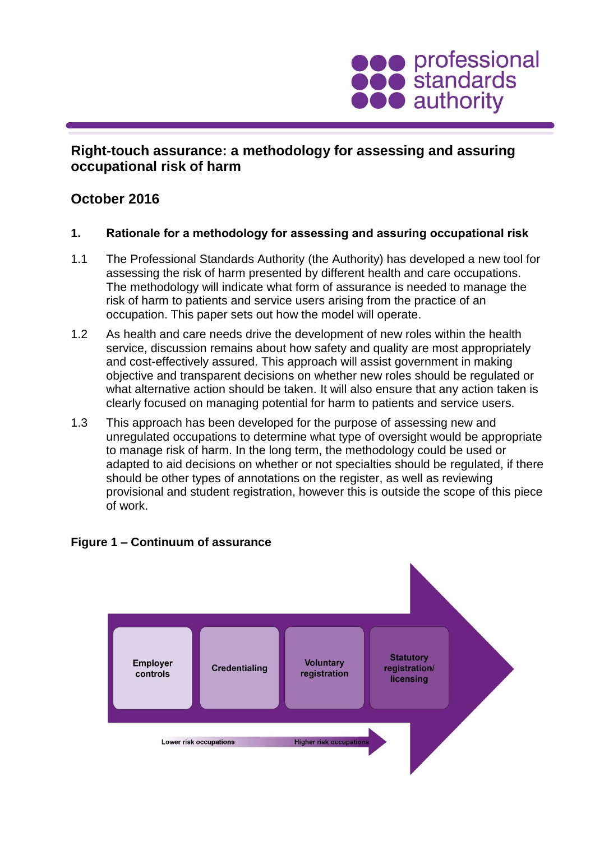

# **Right-touch assurance: a methodology for assessing and assuring occupational risk of harm**

# **October 2016**

- **1. Rationale for a methodology for assessing and assuring occupational risk**
- 1.1 The Professional Standards Authority (the Authority) has developed a new tool for assessing the risk of harm presented by different health and care occupations. The methodology will indicate what form of assurance is needed to manage the risk of harm to patients and service users arising from the practice of an occupation. This paper sets out how the model will operate.
- 1.2 As health and care needs drive the development of new roles within the health service, discussion remains about how safety and quality are most appropriately and cost-effectively assured. This approach will assist government in making objective and transparent decisions on whether new roles should be regulated or what alternative action should be taken. It will also ensure that any action taken is clearly focused on managing potential for harm to patients and service users.
- 1.3 This approach has been developed for the purpose of assessing new and unregulated occupations to determine what type of oversight would be appropriate to manage risk of harm. In the long term, the methodology could be used or adapted to aid decisions on whether or not specialties should be regulated, if there should be other types of annotations on the register, as well as reviewing provisional and student registration, however this is outside the scope of this piece of work.



#### **Figure 1 – Continuum of assurance**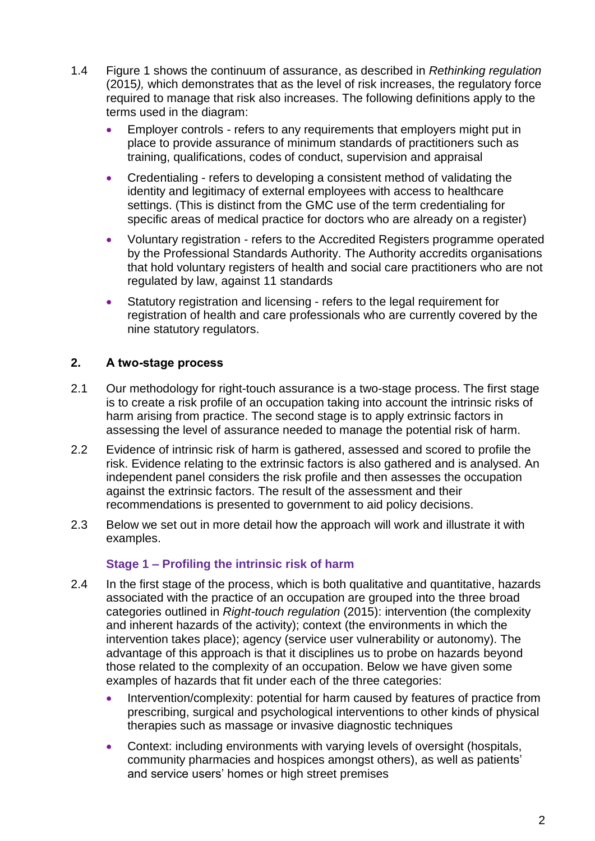- 1.4 Figure 1 shows the continuum of assurance, as described in *Rethinking regulation*  (2015*),* which demonstrates that as the level of risk increases, the regulatory force required to manage that risk also increases. The following definitions apply to the terms used in the diagram:
	- Employer controls refers to any requirements that employers might put in place to provide assurance of minimum standards of practitioners such as training, qualifications, codes of conduct, supervision and appraisal
	- Credentialing refers to developing a consistent method of validating the identity and legitimacy of external employees with access to healthcare settings. (This is distinct from the GMC use of the term credentialing for specific areas of medical practice for doctors who are already on a register)
	- Voluntary registration refers to the Accredited Registers programme operated by the Professional Standards Authority. The Authority accredits organisations that hold voluntary registers of health and social care practitioners who are not regulated by law, against 11 standards
	- Statutory registration and licensing refers to the legal requirement for registration of health and care professionals who are currently covered by the nine statutory regulators.

# **2. A two-stage process**

- 2.1 Our methodology for right-touch assurance is a two-stage process. The first stage is to create a risk profile of an occupation taking into account the intrinsic risks of harm arising from practice. The second stage is to apply extrinsic factors in assessing the level of assurance needed to manage the potential risk of harm.
- 2.2 Evidence of intrinsic risk of harm is gathered, assessed and scored to profile the risk. Evidence relating to the extrinsic factors is also gathered and is analysed. An independent panel considers the risk profile and then assesses the occupation against the extrinsic factors. The result of the assessment and their recommendations is presented to government to aid policy decisions.
- 2.3 Below we set out in more detail how the approach will work and illustrate it with examples.

## **Stage 1 – Profiling the intrinsic risk of harm**

- 2.4 In the first stage of the process, which is both qualitative and quantitative, hazards associated with the practice of an occupation are grouped into the three broad categories outlined in *Right-touch regulation* (2015): intervention (the complexity and inherent hazards of the activity); context (the environments in which the intervention takes place); agency (service user vulnerability or autonomy). The advantage of this approach is that it disciplines us to probe on hazards beyond those related to the complexity of an occupation. Below we have given some examples of hazards that fit under each of the three categories:
	- Intervention/complexity: potential for harm caused by features of practice from prescribing, surgical and psychological interventions to other kinds of physical therapies such as massage or invasive diagnostic techniques
	- Context: including environments with varying levels of oversight (hospitals, community pharmacies and hospices amongst others), as well as patients' and service users' homes or high street premises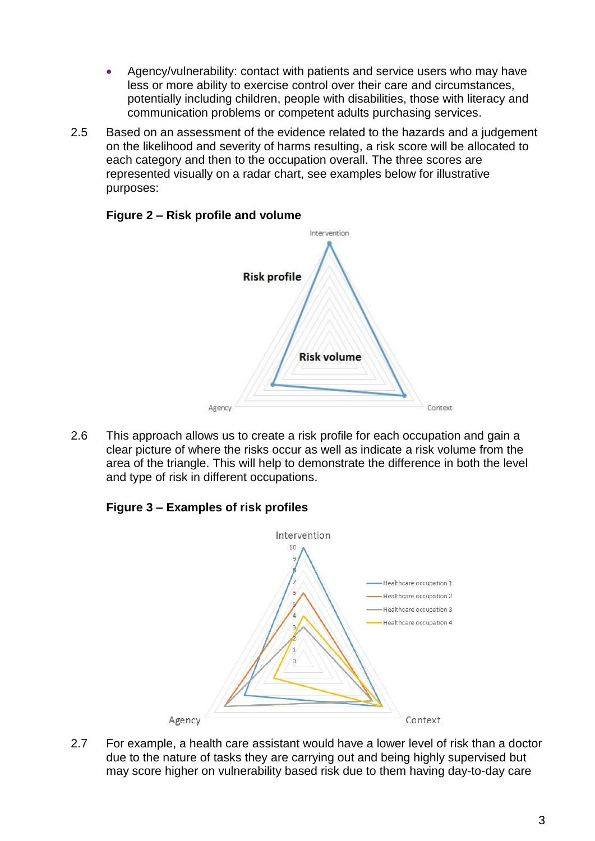- Agency/vulnerability: contact with patients and service users who may have less or more ability to exercise control over their care and circumstances, potentially including children, people with disabilities, those with literacy and communication problems or competent adults purchasing services.
- 2.5 Based on an assessment of the evidence related to the hazards and a judgement on the likelihood and severity of harms resulting, a risk score will be allocated to each category and then to the occupation overall. The three scores are represented visually on a radar chart, see examples below for illustrative purposes:



# **Figure 2 – Risk profile and volume**

2.6 This approach allows us to create a risk profile for each occupation and gain a clear picture of where the risks occur as well as indicate a risk volume from the area of the triangle. This will help to demonstrate the difference in both the level and type of risk in different occupations.

# **Figure 3 – Examples of risk profiles**



2.7 For example, a health care assistant would have a lower level of risk than a doctor due to the nature of tasks they are carrying out and being highly supervised but may score higher on vulnerability based risk due to them having day-to-day care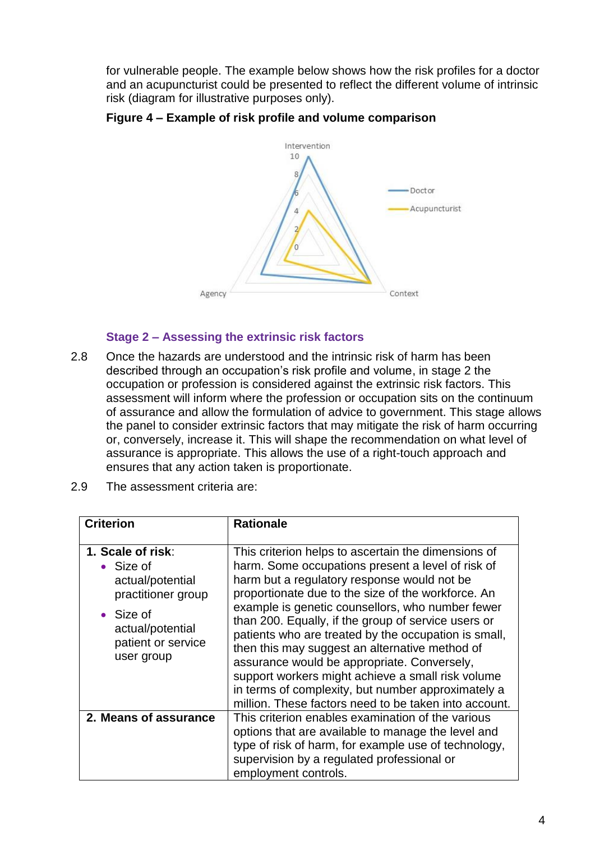for vulnerable people. The example below shows how the risk profiles for a doctor and an acupuncturist could be presented to reflect the different volume of intrinsic risk (diagram for illustrative purposes only).





#### **Stage 2 – Assessing the extrinsic risk factors**

- 2.8 Once the hazards are understood and the intrinsic risk of harm has been described through an occupation's risk profile and volume, in stage 2 the occupation or profession is considered against the extrinsic risk factors. This assessment will inform where the profession or occupation sits on the continuum of assurance and allow the formulation of advice to government. This stage allows the panel to consider extrinsic factors that may mitigate the risk of harm occurring or, conversely, increase it. This will shape the recommendation on what level of assurance is appropriate. This allows the use of a right-touch approach and ensures that any action taken is proportionate.
- 2.9 The assessment criteria are:

| <b>Criterion</b>                                                                                                                                      | <b>Rationale</b>                                                                                                                                                                                                                                                                                                                                                                                                                                                                                                                                                                                                                                      |
|-------------------------------------------------------------------------------------------------------------------------------------------------------|-------------------------------------------------------------------------------------------------------------------------------------------------------------------------------------------------------------------------------------------------------------------------------------------------------------------------------------------------------------------------------------------------------------------------------------------------------------------------------------------------------------------------------------------------------------------------------------------------------------------------------------------------------|
| 1. Scale of risk:<br>• Size of<br>actual/potential<br>practitioner group<br>$\bullet$ Size of<br>actual/potential<br>patient or service<br>user group | This criterion helps to ascertain the dimensions of<br>harm. Some occupations present a level of risk of<br>harm but a regulatory response would not be<br>proportionate due to the size of the workforce. An<br>example is genetic counsellors, who number fewer<br>than 200. Equally, if the group of service users or<br>patients who are treated by the occupation is small,<br>then this may suggest an alternative method of<br>assurance would be appropriate. Conversely,<br>support workers might achieve a small risk volume<br>in terms of complexity, but number approximately a<br>million. These factors need to be taken into account. |
| 2. Means of assurance                                                                                                                                 | This criterion enables examination of the various<br>options that are available to manage the level and<br>type of risk of harm, for example use of technology,<br>supervision by a regulated professional or<br>employment controls.                                                                                                                                                                                                                                                                                                                                                                                                                 |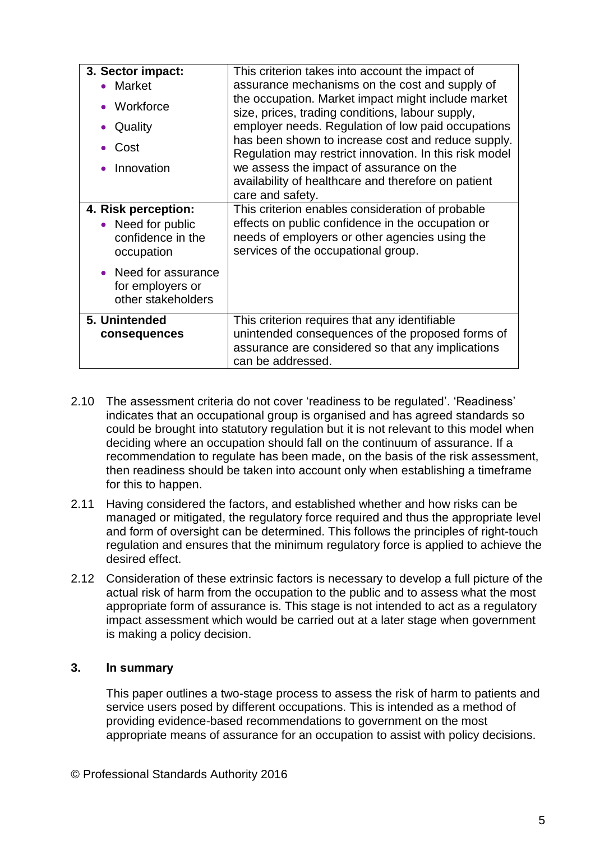| 3. Sector impact:                                                           | This criterion takes into account the impact of                                                                                                                                                                                                                                                                          |
|-----------------------------------------------------------------------------|--------------------------------------------------------------------------------------------------------------------------------------------------------------------------------------------------------------------------------------------------------------------------------------------------------------------------|
| • Market                                                                    | assurance mechanisms on the cost and supply of                                                                                                                                                                                                                                                                           |
| Workforce<br>Quality<br>Cost<br>Innovation                                  | the occupation. Market impact might include market<br>size, prices, trading conditions, labour supply,<br>employer needs. Regulation of low paid occupations<br>has been shown to increase cost and reduce supply.<br>Regulation may restrict innovation. In this risk model<br>we assess the impact of assurance on the |
|                                                                             | availability of healthcare and therefore on patient                                                                                                                                                                                                                                                                      |
|                                                                             | care and safety.                                                                                                                                                                                                                                                                                                         |
| 4. Risk perception:<br>• Need for public<br>confidence in the<br>occupation | This criterion enables consideration of probable<br>effects on public confidence in the occupation or<br>needs of employers or other agencies using the<br>services of the occupational group.                                                                                                                           |
| Need for assurance<br>for employers or<br>other stakeholders                |                                                                                                                                                                                                                                                                                                                          |
| 5. Unintended<br>consequences                                               | This criterion requires that any identifiable<br>unintended consequences of the proposed forms of<br>assurance are considered so that any implications<br>can be addressed.                                                                                                                                              |

- 2.10 The assessment criteria do not cover 'readiness to be regulated'. 'Readiness' indicates that an occupational group is organised and has agreed standards so could be brought into statutory regulation but it is not relevant to this model when deciding where an occupation should fall on the continuum of assurance. If a recommendation to regulate has been made, on the basis of the risk assessment, then readiness should be taken into account only when establishing a timeframe for this to happen.
- 2.11 Having considered the factors, and established whether and how risks can be managed or mitigated, the regulatory force required and thus the appropriate level and form of oversight can be determined. This follows the principles of right-touch regulation and ensures that the minimum regulatory force is applied to achieve the desired effect.
- 2.12 Consideration of these extrinsic factors is necessary to develop a full picture of the actual risk of harm from the occupation to the public and to assess what the most appropriate form of assurance is. This stage is not intended to act as a regulatory impact assessment which would be carried out at a later stage when government is making a policy decision.

## **3. In summary**

This paper outlines a two-stage process to assess the risk of harm to patients and service users posed by different occupations. This is intended as a method of providing evidence-based recommendations to government on the most appropriate means of assurance for an occupation to assist with policy decisions.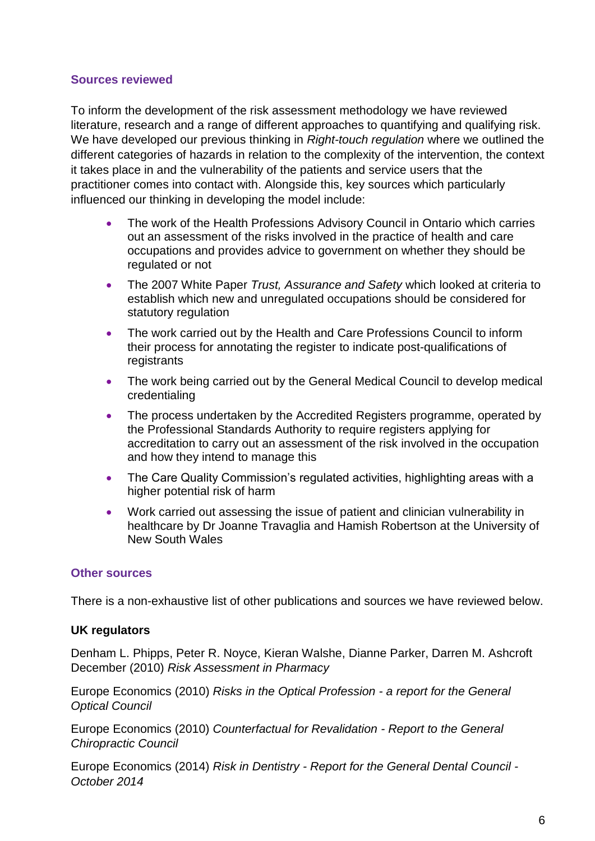#### **Sources reviewed**

To inform the development of the risk assessment methodology we have reviewed literature, research and a range of different approaches to quantifying and qualifying risk. We have developed our previous thinking in *Right-touch regulation* where we outlined the different categories of hazards in relation to the complexity of the intervention, the context it takes place in and the vulnerability of the patients and service users that the practitioner comes into contact with. Alongside this, key sources which particularly influenced our thinking in developing the model include:

- The work of the Health Professions Advisory Council in Ontario which carries out an assessment of the risks involved in the practice of health and care occupations and provides advice to government on whether they should be regulated or not
- The 2007 White Paper *Trust, Assurance and Safety* which looked at criteria to establish which new and unregulated occupations should be considered for statutory regulation
- The work carried out by the Health and Care Professions Council to inform their process for annotating the register to indicate post-qualifications of registrants
- The work being carried out by the General Medical Council to develop medical credentialing
- The process undertaken by the Accredited Registers programme, operated by the Professional Standards Authority to require registers applying for accreditation to carry out an assessment of the risk involved in the occupation and how they intend to manage this
- The Care Quality Commission's regulated activities, highlighting areas with a higher potential risk of harm
- Work carried out assessing the issue of patient and clinician vulnerability in healthcare by Dr Joanne Travaglia and Hamish Robertson at the University of New South Wales

## **Other sources**

There is a non-exhaustive list of other publications and sources we have reviewed below.

## **UK regulators**

Denham L. Phipps, Peter R. Noyce, Kieran Walshe, Dianne Parker, Darren M. Ashcroft December (2010) *Risk Assessment in Pharmacy*

Europe Economics (2010) *Risks in the Optical Profession - a report for the General Optical Council*

Europe Economics (2010) *Counterfactual for Revalidation - Report to the General Chiropractic Council*

Europe Economics (2014) *Risk in Dentistry - Report for the General Dental Council - October 2014*